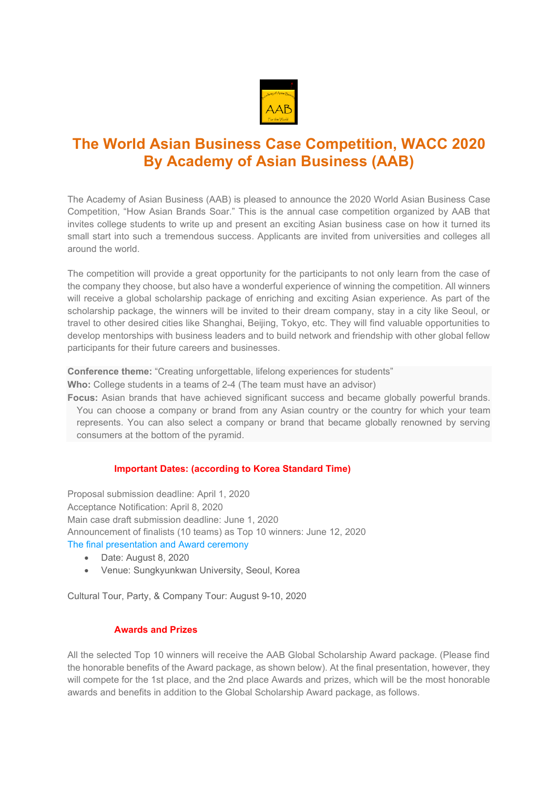

## **The World Asian Business Case Competition, WACC 2020 By Academy of Asian Business (AAB)**

The Academy of Asian Business (AAB) is pleased to announce the 2020 World Asian Business Case Competition, "How Asian Brands Soar." This is the annual case competition organized by AAB that invites college students to write up and present an exciting Asian business case on how it turned its small start into such a tremendous success. Applicants are invited from universities and colleges all around the world.

The competition will provide a great opportunity for the participants to not only learn from the case of the company they choose, but also have a wonderful experience of winning the competition. All winners will receive a global scholarship package of enriching and exciting Asian experience. As part of the scholarship package, the winners will be invited to their dream company, stay in a city like Seoul, or travel to other desired cities like Shanghai, Beijing, Tokyo, etc. They will find valuable opportunities to develop mentorships with business leaders and to build network and friendship with other global fellow participants for their future careers and businesses.

**Conference theme:** "Creating unforgettable, lifelong experiences for students"

**Who:** College students in a teams of 2-4 (The team must have an advisor)

**Focus:** Asian brands that have achieved significant success and became globally powerful brands. You can choose a company or brand from any Asian country or the country for which your team represents. You can also select a company or brand that became globally renowned by serving consumers at the bottom of the pyramid.

## **Important Dates: (according to Korea Standard Time)**

Proposal submission deadline: April 1, 2020 Acceptance Notification: April 8, 2020 Main case draft submission deadline: June 1, 2020 Announcement of finalists (10 teams) as Top 10 winners: June 12, 2020 The final presentation and Award ceremony

- Date: August 8, 2020
- Venue: Sungkyunkwan University, Seoul, Korea

Cultural Tour, Party, & Company Tour: August 9-10, 2020

## **Awards and Prizes**

All the selected Top 10 winners will receive the AAB Global Scholarship Award package. (Please find the honorable benefits of the Award package, as shown below). At the final presentation, however, they will compete for the 1st place, and the 2nd place Awards and prizes, which will be the most honorable awards and benefits in addition to the Global Scholarship Award package, as follows.